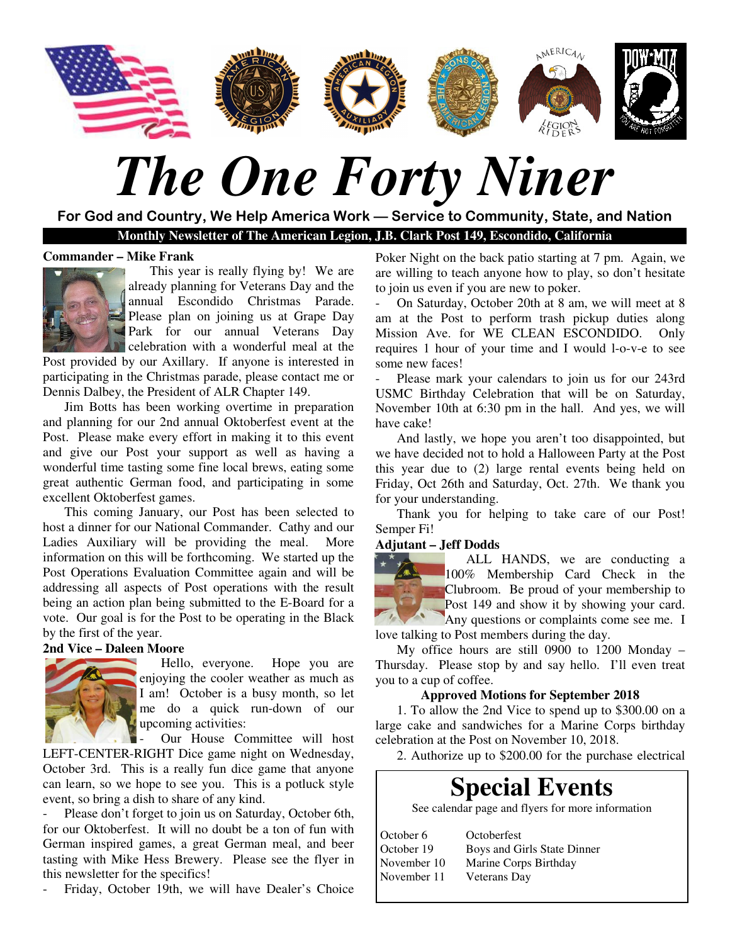

# *The One Forty Niner*

**For God and Country, We Help America Work — Service to Community, State, and Nation Monthly Newsletter of The American Legion, J.B. Clark Post 149, Escondido, California**

#### **Commander – Mike Frank**



 This year is really flying by! We are already planning for Veterans Day and the annual Escondido Christmas Parade. Please plan on joining us at Grape Day Park for our annual Veterans Day celebration with a wonderful meal at the

Post provided by our Axillary. If anyone is interested in participating in the Christmas parade, please contact me or Dennis Dalbey, the President of ALR Chapter 149.

 Jim Botts has been working overtime in preparation and planning for our 2nd annual Oktoberfest event at the Post. Please make every effort in making it to this event and give our Post your support as well as having a wonderful time tasting some fine local brews, eating some great authentic German food, and participating in some excellent Oktoberfest games.

 This coming January, our Post has been selected to host a dinner for our National Commander. Cathy and our Ladies Auxiliary will be providing the meal. More information on this will be forthcoming. We started up the Post Operations Evaluation Committee again and will be addressing all aspects of Post operations with the result being an action plan being submitted to the E-Board for a vote. Our goal is for the Post to be operating in the Black by the first of the year.

#### **2nd Vice – Daleen Moore**



 Hello, everyone. Hope you are enjoying the cooler weather as much as I am! October is a busy month, so let me do a quick run-down of our upcoming activities:

Our House Committee will host

LEFT-CENTER-RIGHT Dice game night on Wednesday, October 3rd. This is a really fun dice game that anyone can learn, so we hope to see you. This is a potluck style event, so bring a dish to share of any kind.

- Please don't forget to join us on Saturday, October 6th, for our Oktoberfest. It will no doubt be a ton of fun with German inspired games, a great German meal, and beer tasting with Mike Hess Brewery. Please see the flyer in this newsletter for the specifics!

- Friday, October 19th, we will have Dealer's Choice

Poker Night on the back patio starting at 7 pm. Again, we are willing to teach anyone how to play, so don't hesitate to join us even if you are new to poker.

- On Saturday, October 20th at 8 am, we will meet at 8 am at the Post to perform trash pickup duties along Mission Ave. for WE CLEAN ESCONDIDO. Only requires 1 hour of your time and I would l-o-v-e to see some new faces!

Please mark your calendars to join us for our 243rd USMC Birthday Celebration that will be on Saturday, November 10th at 6:30 pm in the hall. And yes, we will have cake!

 And lastly, we hope you aren't too disappointed, but we have decided not to hold a Halloween Party at the Post this year due to (2) large rental events being held on Friday, Oct 26th and Saturday, Oct. 27th. We thank you for your understanding.

 Thank you for helping to take care of our Post! Semper Fi!

#### **Adjutant – Jeff Dodds**

 ALL HANDS, we are conducting a 100% Membership Card Check in the Clubroom. Be proud of your membership to Post 149 and show it by showing your card. Any questions or complaints come see me. I love talking to Post members during the day.

 My office hours are still 0900 to 1200 Monday – Thursday. Please stop by and say hello. I'll even treat you to a cup of coffee.

#### **Approved Motions for September 2018**

 1. To allow the 2nd Vice to spend up to \$300.00 on a large cake and sandwiches for a Marine Corps birthday celebration at the Post on November 10, 2018.

2. Authorize up to \$200.00 for the purchase electrical

### **Special Events**

See calendar page and flyers for more information

| October 6   | Octoberfest                 |
|-------------|-----------------------------|
| October 19  | Boys and Girls State Dinner |
| November 10 | Marine Corps Birthday       |
| November 11 | Veterans Day                |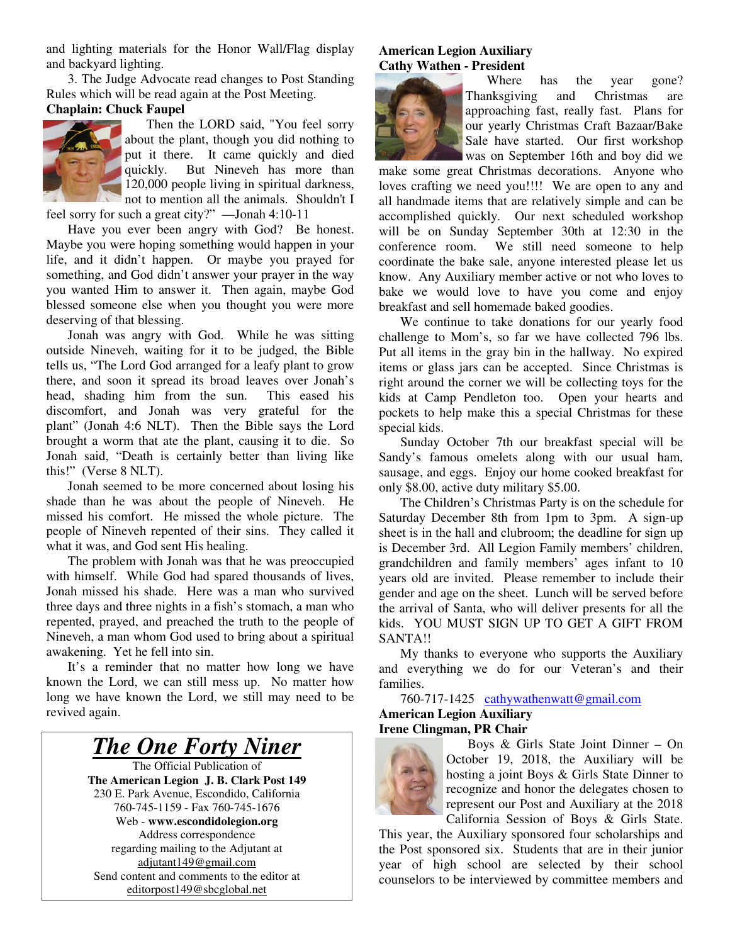and lighting materials for the Honor Wall/Flag display and backyard lighting.

 3. The Judge Advocate read changes to Post Standing Rules which will be read again at the Post Meeting.

#### **Chaplain: Chuck Faupel**



 Then the LORD said, "You feel sorry about the plant, though you did nothing to put it there. It came quickly and died quickly. But Nineveh has more than 120,000 people living in spiritual darkness, not to mention all the animals. Shouldn't I feel sorry for such a great city?" —Jonah 4:10-11

 Have you ever been angry with God? Be honest. Maybe you were hoping something would happen in your life, and it didn't happen. Or maybe you prayed for something, and God didn't answer your prayer in the way you wanted Him to answer it. Then again, maybe God blessed someone else when you thought you were more deserving of that blessing.

 Jonah was angry with God. While he was sitting outside Nineveh, waiting for it to be judged, the Bible tells us, "The Lord God arranged for a leafy plant to grow there, and soon it spread its broad leaves over Jonah's head, shading him from the sun. This eased his discomfort, and Jonah was very grateful for the plant" (Jonah 4:6 NLT). Then the Bible says the Lord brought a worm that ate the plant, causing it to die. So Jonah said, "Death is certainly better than living like this!" (Verse 8 NLT).

 Jonah seemed to be more concerned about losing his shade than he was about the people of Nineveh. He missed his comfort. He missed the whole picture. The people of Nineveh repented of their sins. They called it what it was, and God sent His healing.

 The problem with Jonah was that he was preoccupied with himself. While God had spared thousands of lives, Jonah missed his shade. Here was a man who survived three days and three nights in a fish's stomach, a man who repented, prayed, and preached the truth to the people of Nineveh, a man whom God used to bring about a spiritual awakening. Yet he fell into sin.

 It's a reminder that no matter how long we have known the Lord, we can still mess up. No matter how long we have known the Lord, we still may need to be revived again.

### *The One Forty Niner*

The Official Publication of **The American Legion J. B. Clark Post 149** 230 E. Park Avenue, Escondido, California 760-745-1159 - Fax 760-745-1676 Web - **www.escondidolegion.org**  Address correspondence regarding mailing to the Adjutant at adjutant149@gmail.com Send content and comments to the editor at editorpost149@sbcglobal.net

#### **American Legion Auxiliary Cathy Wathen - President**



 Where has the year gone? Thanksgiving and Christmas are approaching fast, really fast. Plans for our yearly Christmas Craft Bazaar/Bake Sale have started. Our first workshop was on September 16th and boy did we

make some great Christmas decorations. Anyone who loves crafting we need you!!!! We are open to any and all handmade items that are relatively simple and can be accomplished quickly. Our next scheduled workshop will be on Sunday September 30th at 12:30 in the conference room. We still need someone to help coordinate the bake sale, anyone interested please let us know. Any Auxiliary member active or not who loves to bake we would love to have you come and enjoy breakfast and sell homemade baked goodies.

 We continue to take donations for our yearly food challenge to Mom's, so far we have collected 796 lbs. Put all items in the gray bin in the hallway. No expired items or glass jars can be accepted. Since Christmas is right around the corner we will be collecting toys for the kids at Camp Pendleton too. Open your hearts and pockets to help make this a special Christmas for these special kids.

 Sunday October 7th our breakfast special will be Sandy's famous omelets along with our usual ham, sausage, and eggs. Enjoy our home cooked breakfast for only \$8.00, active duty military \$5.00.

 The Children's Christmas Party is on the schedule for Saturday December 8th from 1pm to 3pm. A sign-up sheet is in the hall and clubroom; the deadline for sign up is December 3rd. All Legion Family members' children, grandchildren and family members' ages infant to 10 years old are invited. Please remember to include their gender and age on the sheet. Lunch will be served before the arrival of Santa, who will deliver presents for all the kids. YOU MUST SIGN UP TO GET A GIFT FROM SANTA!!

 My thanks to everyone who supports the Auxiliary and everything we do for our Veteran's and their families.

#### 760-717-1425 cathywathenwatt@gmail.com **American Legion Auxiliary Irene Clingman, PR Chair**



 Boys & Girls State Joint Dinner – On October 19, 2018, the Auxiliary will be hosting a joint Boys & Girls State Dinner to recognize and honor the delegates chosen to represent our Post and Auxiliary at the 2018 California Session of Boys & Girls State.

This year, the Auxiliary sponsored four scholarships and the Post sponsored six. Students that are in their junior year of high school are selected by their school counselors to be interviewed by committee members and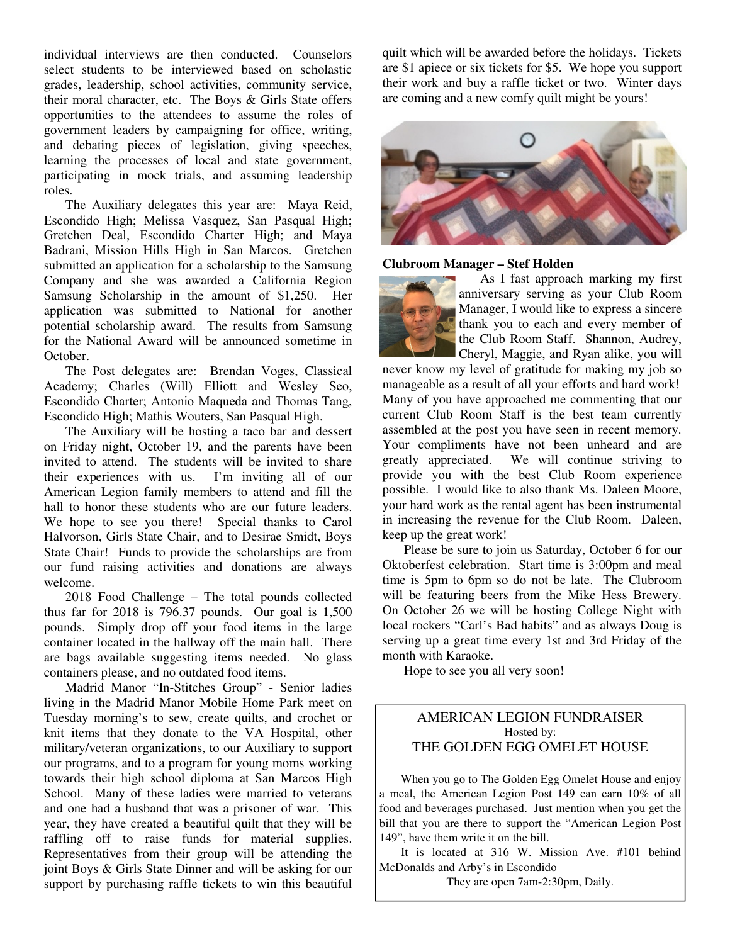individual interviews are then conducted. Counselors select students to be interviewed based on scholastic grades, leadership, school activities, community service, their moral character, etc. The Boys & Girls State offers opportunities to the attendees to assume the roles of government leaders by campaigning for office, writing, and debating pieces of legislation, giving speeches, learning the processes of local and state government, participating in mock trials, and assuming leadership roles.

 The Auxiliary delegates this year are: Maya Reid, Escondido High; Melissa Vasquez, San Pasqual High; Gretchen Deal, Escondido Charter High; and Maya Badrani, Mission Hills High in San Marcos. Gretchen submitted an application for a scholarship to the Samsung Company and she was awarded a California Region Samsung Scholarship in the amount of \$1,250. Her application was submitted to National for another potential scholarship award. The results from Samsung for the National Award will be announced sometime in October.

 The Post delegates are: Brendan Voges, Classical Academy; Charles (Will) Elliott and Wesley Seo, Escondido Charter; Antonio Maqueda and Thomas Tang, Escondido High; Mathis Wouters, San Pasqual High.

 The Auxiliary will be hosting a taco bar and dessert on Friday night, October 19, and the parents have been invited to attend. The students will be invited to share their experiences with us. I'm inviting all of our American Legion family members to attend and fill the hall to honor these students who are our future leaders. We hope to see you there! Special thanks to Carol Halvorson, Girls State Chair, and to Desirae Smidt, Boys State Chair! Funds to provide the scholarships are from our fund raising activities and donations are always welcome.

 2018 Food Challenge – The total pounds collected thus far for 2018 is 796.37 pounds. Our goal is 1,500 pounds. Simply drop off your food items in the large container located in the hallway off the main hall. There are bags available suggesting items needed. No glass containers please, and no outdated food items.

 Madrid Manor "In-Stitches Group" - Senior ladies living in the Madrid Manor Mobile Home Park meet on Tuesday morning's to sew, create quilts, and crochet or knit items that they donate to the VA Hospital, other military/veteran organizations, to our Auxiliary to support our programs, and to a program for young moms working towards their high school diploma at San Marcos High School. Many of these ladies were married to veterans and one had a husband that was a prisoner of war. This year, they have created a beautiful quilt that they will be raffling off to raise funds for material supplies. Representatives from their group will be attending the joint Boys & Girls State Dinner and will be asking for our support by purchasing raffle tickets to win this beautiful quilt which will be awarded before the holidays. Tickets are \$1 apiece or six tickets for \$5. We hope you support their work and buy a raffle ticket or two. Winter days are coming and a new comfy quilt might be yours!



#### **Clubroom Manager – Stef Holden**



 As I fast approach marking my first anniversary serving as your Club Room Manager, I would like to express a sincere thank you to each and every member of the Club Room Staff. Shannon, Audrey, Cheryl, Maggie, and Ryan alike, you will

never know my level of gratitude for making my job so manageable as a result of all your efforts and hard work! Many of you have approached me commenting that our current Club Room Staff is the best team currently assembled at the post you have seen in recent memory. Your compliments have not been unheard and are greatly appreciated. We will continue striving to provide you with the best Club Room experience possible. I would like to also thank Ms. Daleen Moore, your hard work as the rental agent has been instrumental in increasing the revenue for the Club Room. Daleen, keep up the great work!

 Please be sure to join us Saturday, October 6 for our Oktoberfest celebration. Start time is 3:00pm and meal time is 5pm to 6pm so do not be late. The Clubroom will be featuring beers from the Mike Hess Brewery. On October 26 we will be hosting College Night with local rockers "Carl's Bad habits" and as always Doug is serving up a great time every 1st and 3rd Friday of the month with Karaoke.

Hope to see you all very soon!

#### AMERICAN LEGION FUNDRAISER Hosted by: THE GOLDEN EGG OMELET HOUSE

When you go to The Golden Egg Omelet House and enjoy a meal, the American Legion Post 149 can earn 10% of all food and beverages purchased. Just mention when you get the bill that you are there to support the "American Legion Post 149", have them write it on the bill.

 It is located at 316 W. Mission Ave. #101 behind McDonalds and Arby's in Escondido

They are open 7am-2:30pm, Daily.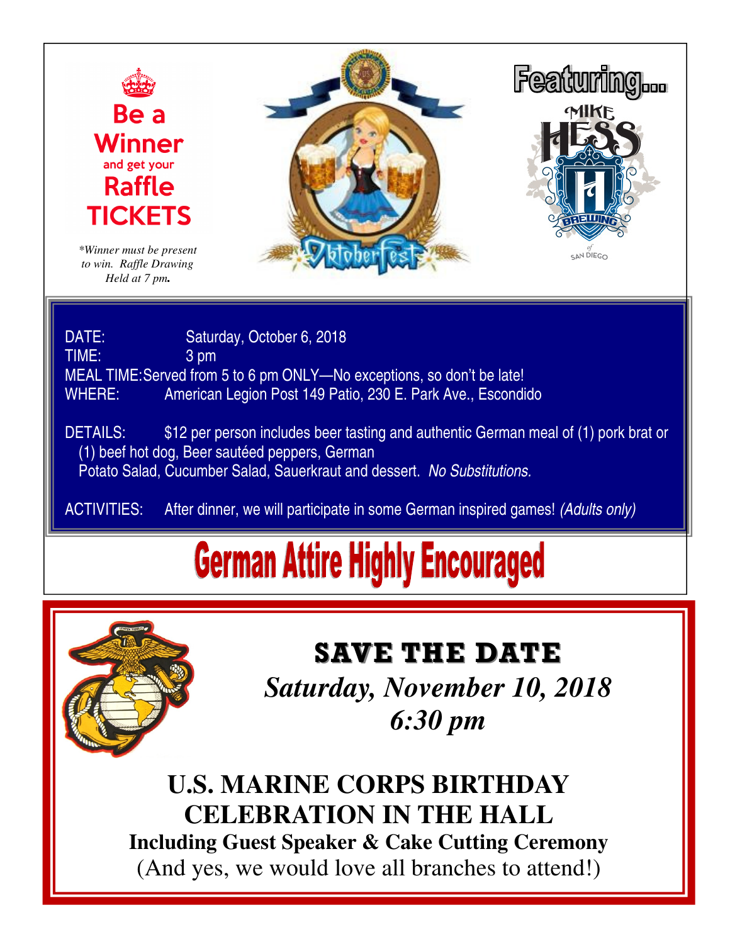

DATE: Saturday, October 6, 2018 TIME: 3 pm MEAL TIME: Served from 5 to 6 pm ONLY-No exceptions, so don't be late! WHERE: American Legion Post 149 Patio, 230 E. Park Ave., Escondido

 DETAILS: \$12 per person includes beer tasting and authentic German meal of (1) pork brat or (1) beef hot dog, Beer sautéed peppers, German Potato Salad, Cucumber Salad, Sauerkraut and dessert. No Substitutions.

ACTIVITIES: After dinner, we will participate in some German inspired games! (Adults only)

# **German Attire Highly Encouraged**



## **SAVE THE DATE**

*Saturday, November 10, 2018 6:30 pm* 

**U.S. MARINE CORPS BIRTHDAY CELEBRATION IN THE HALL Including Guest Speaker & Cake Cutting Ceremony**  (And yes, we would love all branches to attend!)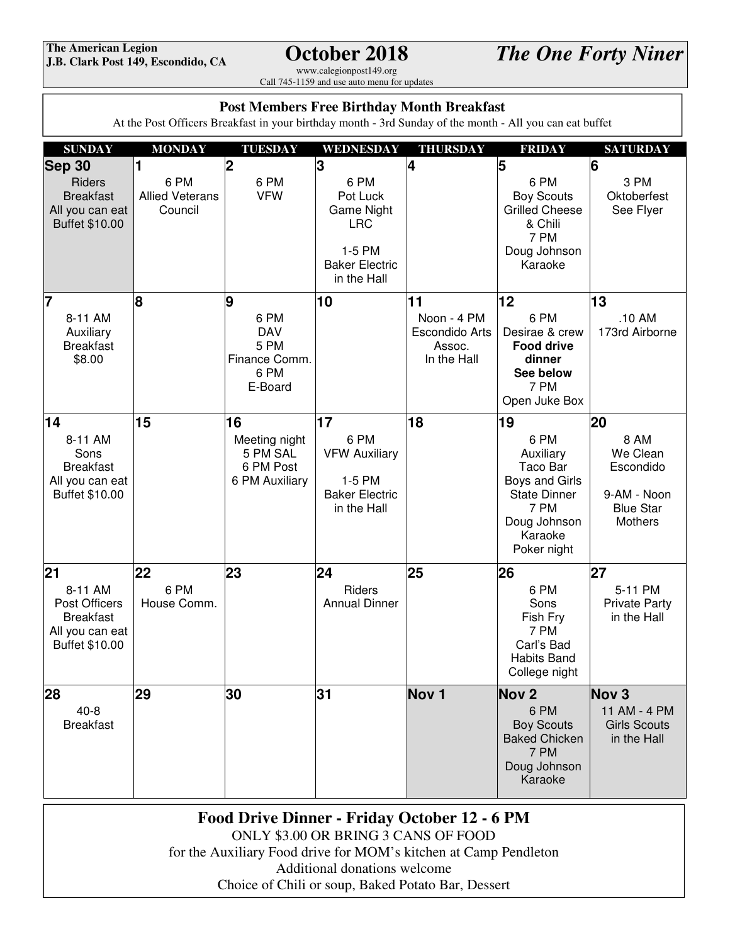www.calegionpost149.org Call 745-1159 and use auto menu for updates

### *The One Forty Niner*

#### **Post Members Free Birthday Month Breakfast**

At the Post Officers Breakfast in your birthday month - 3rd Sunday of the month - All you can eat buffet

| <b>SUNDAY</b>                                                                            | <b>MONDAY</b>                             | <b>TUESDAY</b>                                                 | WEDNESDAY                                                                                             | <b>THURSDAY</b>                                               | <b>FRIDAY</b>                                                                                                            | <b>SATURDAY</b>                                                             |
|------------------------------------------------------------------------------------------|-------------------------------------------|----------------------------------------------------------------|-------------------------------------------------------------------------------------------------------|---------------------------------------------------------------|--------------------------------------------------------------------------------------------------------------------------|-----------------------------------------------------------------------------|
| <b>Sep 30</b>                                                                            | 1                                         | $\overline{\mathbf{2}}$                                        | 3                                                                                                     | $\overline{\mathbf{4}}$                                       | 5                                                                                                                        | 6                                                                           |
| <b>Riders</b><br><b>Breakfast</b><br>All you can eat<br><b>Buffet \$10.00</b>            | 6 PM<br><b>Allied Veterans</b><br>Council | 6 PM<br><b>VFW</b>                                             | 6 PM<br>Pot Luck<br><b>Game Night</b><br><b>LRC</b><br>1-5 PM<br><b>Baker Electric</b><br>in the Hall |                                                               | 6 PM<br><b>Boy Scouts</b><br><b>Grilled Cheese</b><br>& Chili<br>7 PM<br>Doug Johnson<br>Karaoke                         | 3 PM<br>Oktoberfest<br>See Flyer                                            |
| 7                                                                                        | 8                                         | 9                                                              | 10                                                                                                    | 11                                                            | 12                                                                                                                       | 13                                                                          |
| 8-11 AM<br>Auxiliary<br><b>Breakfast</b><br>\$8.00                                       |                                           | 6 PM<br><b>DAV</b><br>5 PM<br>Finance Comm.<br>6 PM<br>E-Board |                                                                                                       | Noon - 4 PM<br><b>Escondido Arts</b><br>Assoc.<br>In the Hall | 6 PM<br>Desirae & crew<br><b>Food drive</b><br>dinner<br>See below<br>7 PM<br>Open Juke Box                              | .10 AM<br>173rd Airborne                                                    |
| 14                                                                                       | 15                                        | 16                                                             | 17                                                                                                    | 18                                                            | 19                                                                                                                       | 20                                                                          |
| 8-11 AM<br>Sons<br><b>Breakfast</b><br>All you can eat<br>Buffet \$10.00                 |                                           | Meeting night<br>5 PM SAL<br>6 PM Post<br>6 PM Auxiliary       | 6 PM<br><b>VFW Auxiliary</b><br>1-5 PM<br><b>Baker Electric</b><br>in the Hall                        |                                                               | 6 PM<br>Auxiliary<br>Taco Bar<br>Boys and Girls<br><b>State Dinner</b><br>7 PM<br>Doug Johnson<br>Karaoke<br>Poker night | 8 AM<br>We Clean<br>Escondido<br>9-AM - Noon<br><b>Blue Star</b><br>Mothers |
| 21                                                                                       | 22                                        | 23                                                             | 24                                                                                                    | 25                                                            | 26                                                                                                                       | 27                                                                          |
| 8-11 AM<br><b>Post Officers</b><br><b>Breakfast</b><br>All you can eat<br>Buffet \$10.00 | 6 PM<br>House Comm.                       |                                                                | Riders<br><b>Annual Dinner</b>                                                                        |                                                               | 6 PM<br>Sons<br>Fish Fry<br>7 PM<br>Carl's Bad<br><b>Habits Band</b><br>College night                                    | 5-11 PM<br><b>Private Party</b><br>in the Hall                              |
| 28<br>$40 - 8$<br><b>Breakfast</b>                                                       | 29                                        | 30                                                             | 31                                                                                                    | Nov <sub>1</sub>                                              | Nov <sub>2</sub><br>6 PM<br><b>Boy Scouts</b><br><b>Baked Chicken</b><br>7 PM<br>Doug Johnson<br>Karaoke                 | Nov <sub>3</sub><br>11 AM - 4 PM<br><b>Girls Scouts</b><br>in the Hall      |

**Food Drive Dinner - Friday October 12 - 6 PM** 

ONLY \$3.00 OR BRING 3 CANS OF FOOD for the Auxiliary Food drive for MOM's kitchen at Camp Pendleton Additional donations welcome Choice of Chili or soup, Baked Potato Bar, Dessert